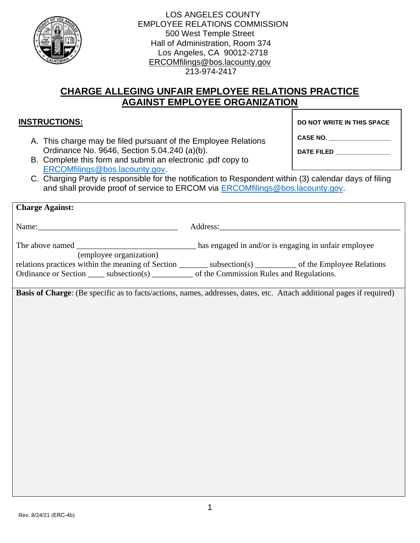

| <b>LOS ANGELES COUNTY</b>            |
|--------------------------------------|
| <b>EMPLOYEE RELATIONS COMMISSION</b> |
| 500 West Temple Street               |
| Hall of Administration, Room 374     |
| Los Angeles, CA 90012-2718           |
| ERCOMfilings@bos.lacounty.gov        |
| 213-974-2417                         |

## **CHARGE ALLEGING UNFAIR EMPLOYEE RELATIONS PRACTICE AGAINST EMPLOYEE ORGANIZATION**

## **INSTRUCTIONS:**

A. This charge may be filed pursuant of the Employee Relations Ordinance No. 9646, Section 5.04.240 (a)(b).

**DO NOT WRITE IN THIS SPACE**

B. Complete this form and submit an electronic .pdf copy to

**DATE FILED \_\_\_\_\_\_\_\_\_\_\_\_\_\_\_\_**

**CASE NO. \_\_\_\_\_\_\_\_\_\_\_\_\_\_\_\_\_\_**

[ERCOMfilings@bos.lacounty.gov.](mailto:ERCOMfilings@bos.lacounty.gov) C. Charging Party is responsible for the notification to Respondent within (3) calendar days of filing and shall provide proof of service to ERCOM via **ERCOMfilings@bos.lacounty.gov.** 

| <b>Charge Against:</b>                                                                                                    |                                                                                                                       |
|---------------------------------------------------------------------------------------------------------------------------|-----------------------------------------------------------------------------------------------------------------------|
|                                                                                                                           |                                                                                                                       |
|                                                                                                                           |                                                                                                                       |
| (employee organization)<br>Ordinance or Section ______ subsection(s) ___________ of the Commission Rules and Regulations. | relations practices within the meaning of Section __________ subsection(s) __________ of the Employee Relations       |
|                                                                                                                           | Basis of Charge: (Be specific as to facts/actions, names, addresses, dates, etc. Attach additional pages if required) |
|                                                                                                                           |                                                                                                                       |
|                                                                                                                           |                                                                                                                       |
|                                                                                                                           |                                                                                                                       |
|                                                                                                                           |                                                                                                                       |
|                                                                                                                           |                                                                                                                       |
|                                                                                                                           |                                                                                                                       |
|                                                                                                                           |                                                                                                                       |
|                                                                                                                           |                                                                                                                       |
|                                                                                                                           |                                                                                                                       |
|                                                                                                                           |                                                                                                                       |